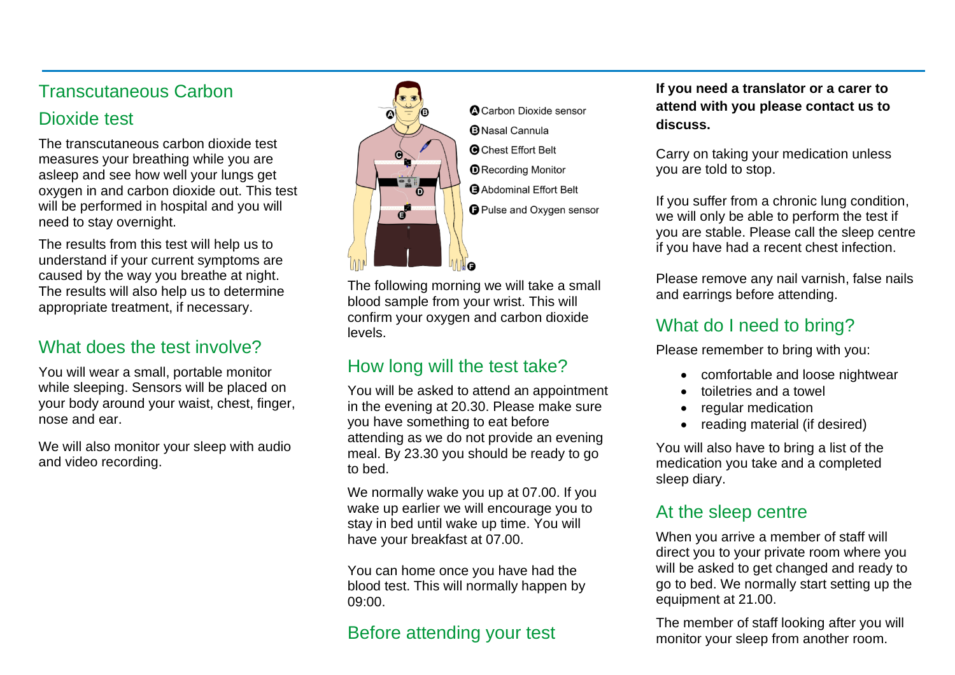### Transcutaneous Carbon

### Dioxide test

The transcutaneous carbon dioxide test measures your breathing while you are asleep and see how well your lungs get oxygen in and carbon dioxide out. This test will be performed in hospital and you will need to stay overnight.

The results from this test will help us to understand if your current symptoms are caused by the way you breathe at night. The results will also help us to determine appropriate treatment, if necessary.

## What does the test involve?

You will wear a small, portable monitor while sleeping. Sensors will be placed on your body around your waist, chest, finger, nose and ear.

We will also monitor your sleep with audio and video recording.



**A** Carbon Dioxide sensor **B** Nasal Cannula **O** Chest Effort Belt **O** Recording Monitor **Abdominal Effort Belt O** Pulse and Oxygen sensor

The following morning we will take a small blood sample from your wrist. This will confirm your oxygen and carbon dioxide levels.

# How long will the test take?

You will be asked to attend an appointment in the evening at 20.30. Please make sure you have something to eat before attending as we do not provide an evening meal. By 23.30 you should be ready to go to bed.

We normally wake you up at 07.00. If you wake up earlier we will encourage you to stay in bed until wake up time. You will have your breakfast at 07.00.

You can home once you have had the blood test. This will normally happen by 09:00.

## Before attending your test

**If you need a translator or a carer to attend with you please contact us to discuss.**

Carry on taking your medication unless you are told to stop.

If you suffer from a chronic lung condition, we will only be able to perform the test if you are stable. Please call the sleep centre if you have had a recent chest infection.

Please remove any nail varnish, false nails and earrings before attending.

## What do I need to bring?

Please remember to bring with you:

- comfortable and loose nightwear
- toiletries and a towel
- regular medication
- reading material (if desired)

You will also have to bring a list of the medication you take and a completed sleep diary.

#### At the sleep centre

When you arrive a member of staff will direct you to your private room where you will be asked to get changed and ready to go to bed. We normally start setting up the equipment at 21.00.

The member of staff looking after you will monitor your sleep from another room.